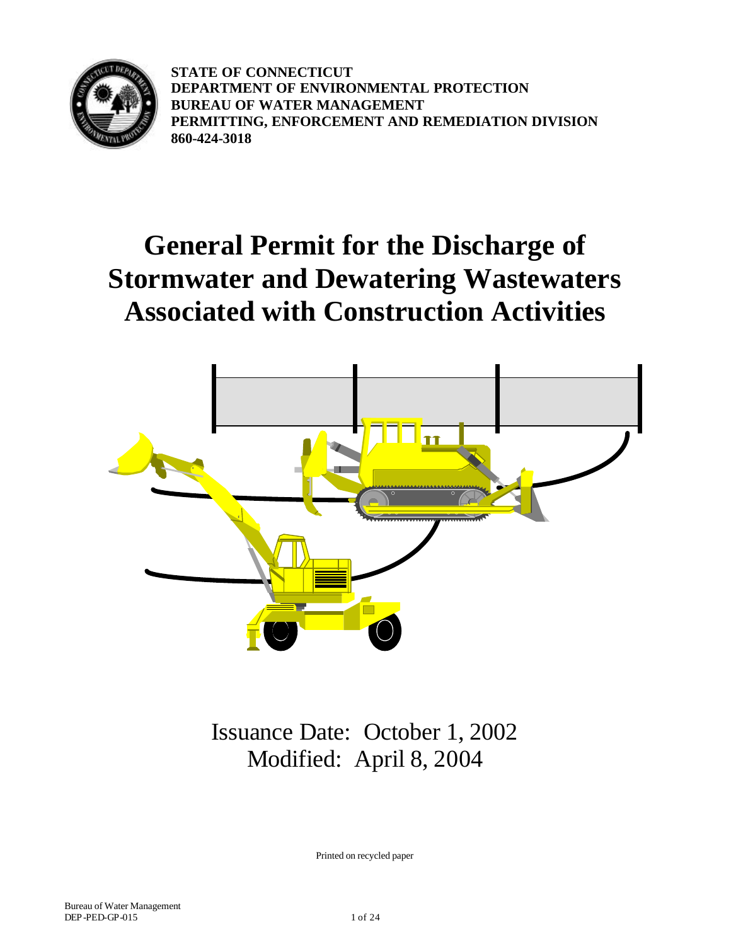

**STATE OF CONNECTICUT DEPARTMENT OF ENVIRONMENTAL PROTECTION BUREAU OF WATER MANAGEMENT PERMITTING, ENFORCEMENT AND REMEDIATION DIVISION 860-424-3018**

# **General Permit for the Discharge of Stormwater and Dewatering Wastewaters Associated with Construction Activities**



Issuance Date: October 1, 2002 Modified: April 8, 2004

Printed on recycled paper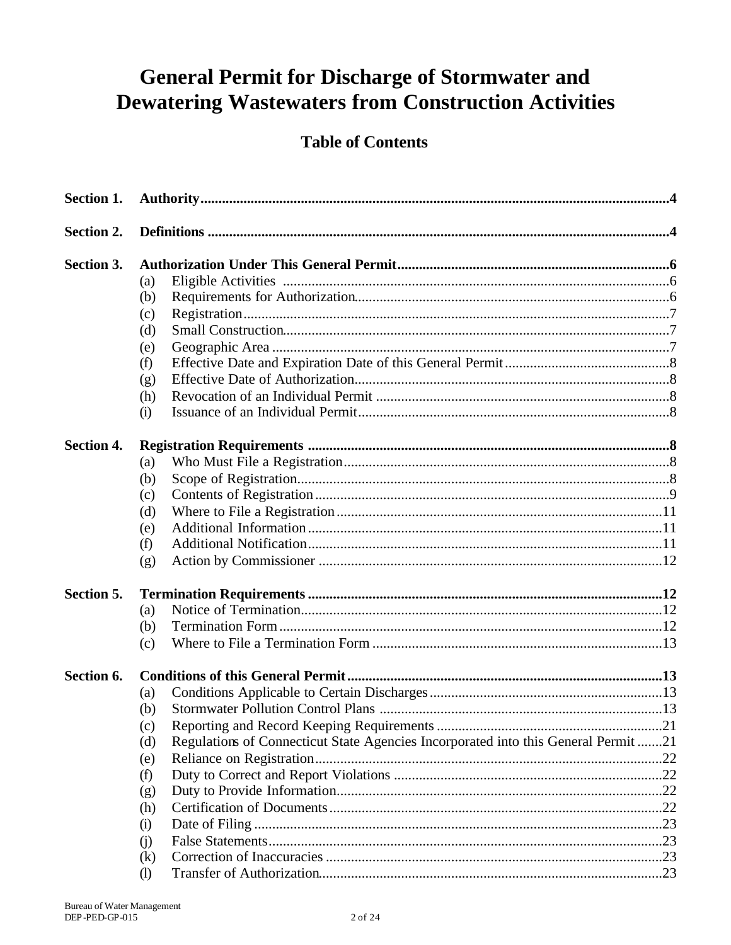## **General Permit for Discharge of Stormwater and Dewatering Wastewaters from Construction Activities**

### **Table of Contents**

| Section 1.        |                              |                                                                                    |  |
|-------------------|------------------------------|------------------------------------------------------------------------------------|--|
| Section 2.        |                              |                                                                                    |  |
| Section 3.        |                              |                                                                                    |  |
|                   | (a)                          |                                                                                    |  |
|                   | (b)                          |                                                                                    |  |
|                   | (c)                          |                                                                                    |  |
|                   | (d)                          |                                                                                    |  |
|                   | (e)                          |                                                                                    |  |
|                   | (f)                          |                                                                                    |  |
|                   | (g)                          |                                                                                    |  |
|                   | (h)                          |                                                                                    |  |
|                   | (i)                          |                                                                                    |  |
| <b>Section 4.</b> |                              |                                                                                    |  |
|                   | (a)                          |                                                                                    |  |
|                   | (b)                          |                                                                                    |  |
|                   | (c)                          |                                                                                    |  |
|                   | (d)                          |                                                                                    |  |
|                   | (e)                          |                                                                                    |  |
|                   | (f)                          |                                                                                    |  |
|                   | (g)                          |                                                                                    |  |
| Section 5.        |                              |                                                                                    |  |
|                   | (a)                          |                                                                                    |  |
|                   | (b)                          |                                                                                    |  |
|                   | (c)                          |                                                                                    |  |
| Section 6.        |                              |                                                                                    |  |
|                   | (a)                          |                                                                                    |  |
|                   | (b)                          |                                                                                    |  |
|                   | (c)                          |                                                                                    |  |
|                   | (d)                          | Regulations of Connecticut State Agencies Incorporated into this General Permit 21 |  |
|                   | (e)                          |                                                                                    |  |
|                   | (f)                          |                                                                                    |  |
|                   | (g)                          |                                                                                    |  |
|                   | (h)                          |                                                                                    |  |
|                   | (i)                          |                                                                                    |  |
|                   | (i)                          |                                                                                    |  |
|                   | (k)                          |                                                                                    |  |
|                   | $\left( \frac{1}{2} \right)$ |                                                                                    |  |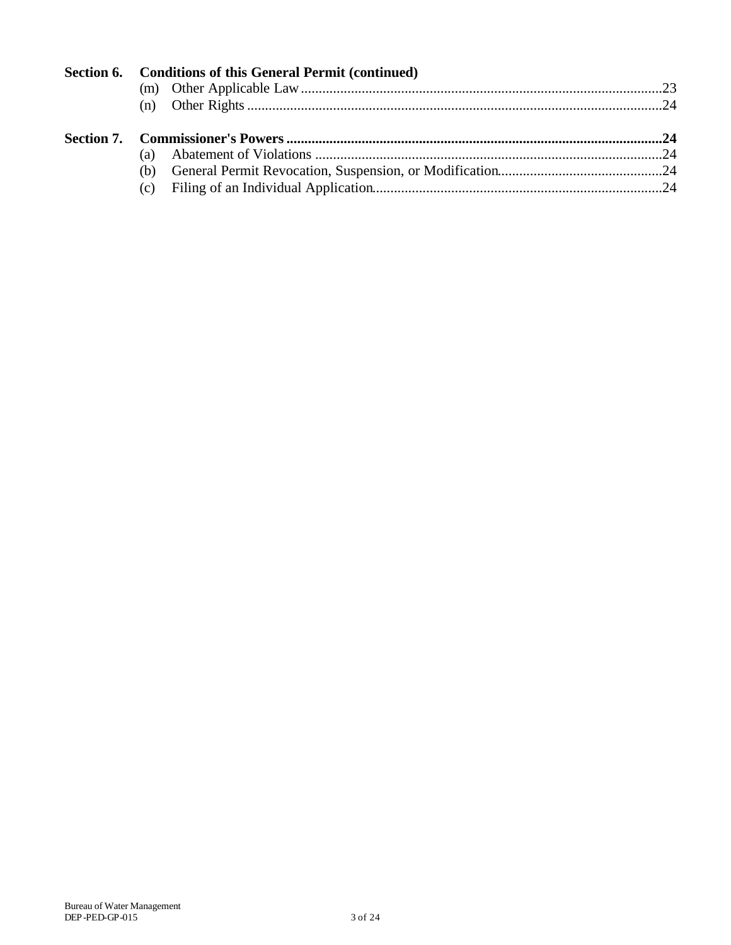| Section 6. Conditions of this General Permit (continued) |  |
|----------------------------------------------------------|--|
|                                                          |  |
|                                                          |  |
|                                                          |  |
|                                                          |  |
|                                                          |  |
|                                                          |  |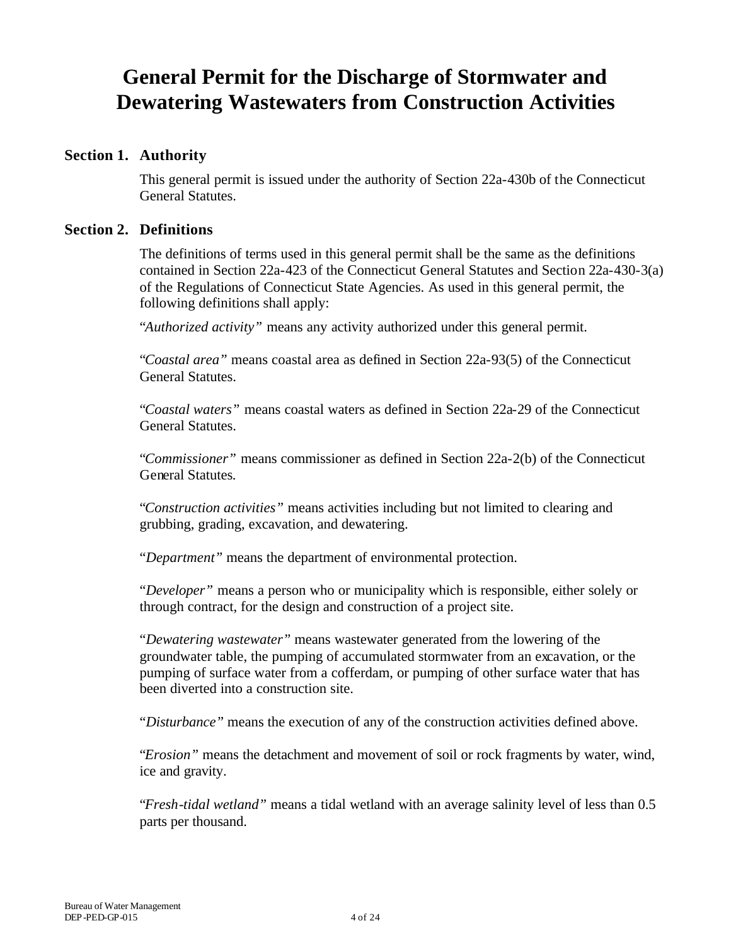### **General Permit for the Discharge of Stormwater and Dewatering Wastewaters from Construction Activities**

#### **Section 1. Authority**

This general permit is issued under the authority of Section 22a-430b of the Connecticut General Statutes.

#### **Section 2. Definitions**

The definitions of terms used in this general permit shall be the same as the definitions contained in Section 22a-423 of the Connecticut General Statutes and Section 22a-430-3(a) of the Regulations of Connecticut State Agencies. As used in this general permit, the following definitions shall apply:

"*Authorized activity"* means any activity authorized under this general permit.

"*Coastal area"* means coastal area as defined in Section 22a-93(5) of the Connecticut General Statutes.

"*Coastal waters"* means coastal waters as defined in Section 22a-29 of the Connecticut General Statutes.

"*Commissioner"* means commissioner as defined in Section 22a-2(b) of the Connecticut General Statutes*.*

"*Construction activities"* means activities including but not limited to clearing and grubbing, grading, excavation, and dewatering.

"*Department"* means the department of environmental protection.

"*Developer"* means a person who or municipality which is responsible, either solely or through contract, for the design and construction of a project site.

"*Dewatering wastewater"* means wastewater generated from the lowering of the groundwater table, the pumping of accumulated stormwater from an excavation, or the pumping of surface water from a cofferdam, or pumping of other surface water that has been diverted into a construction site.

"*Disturbance"* means the execution of any of the construction activities defined above.

"*Erosion"* means the detachment and movement of soil or rock fragments by water, wind, ice and gravity.

"*Fresh-tidal wetland"* means a tidal wetland with an average salinity level of less than 0.5 parts per thousand.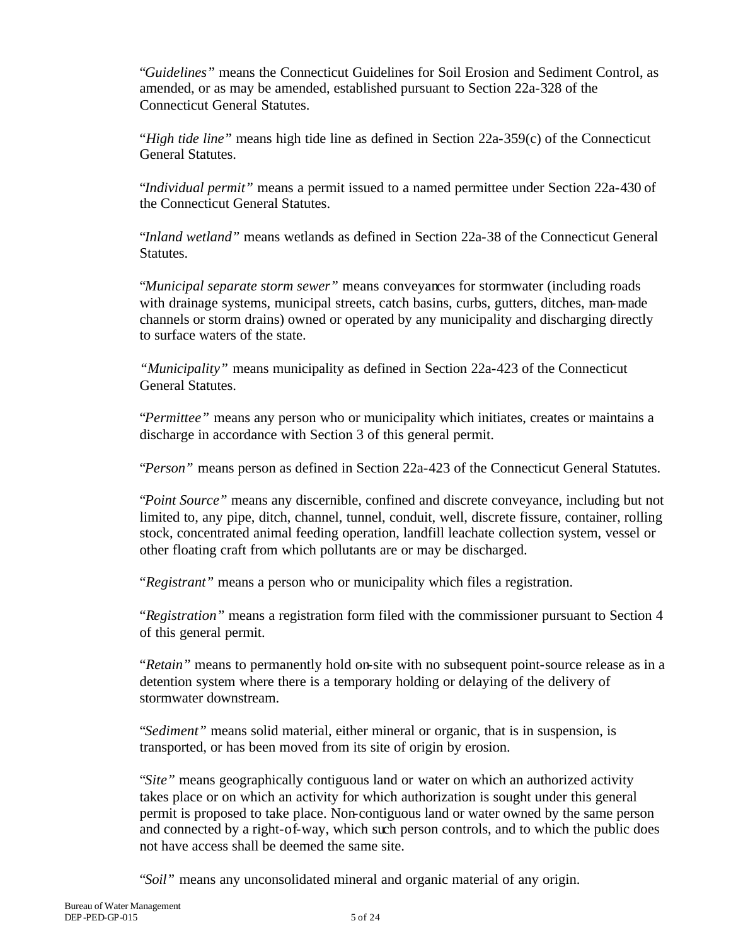"*Guidelines"* means the Connecticut Guidelines for Soil Erosion and Sediment Control, as amended, or as may be amended, established pursuant to Section 22a-328 of the Connecticut General Statutes.

"*High tide line"* means high tide line as defined in Section 22a-359(c) of the Connecticut General Statutes.

"*Individual permit"* means a permit issued to a named permittee under Section 22a-430 of the Connecticut General Statutes.

"*Inland wetland"* means wetlands as defined in Section 22a-38 of the Connecticut General Statutes.

"*Municipal separate storm sewer"* means conveyances for stormwater (including roads with drainage systems, municipal streets, catch basins, curbs, gutters, ditches, man-made channels or storm drains) owned or operated by any municipality and discharging directly to surface waters of the state.

*"Municipality"* means municipality as defined in Section 22a-423 of the Connecticut General Statutes.

"*Permittee"* means any person who or municipality which initiates, creates or maintains a discharge in accordance with Section 3 of this general permit.

"*Person"* means person as defined in Section 22a-423 of the Connecticut General Statutes.

"*Point Source"* means any discernible, confined and discrete conveyance, including but not limited to, any pipe, ditch, channel, tunnel, conduit, well, discrete fissure, container, rolling stock, concentrated animal feeding operation, landfill leachate collection system, vessel or other floating craft from which pollutants are or may be discharged.

"*Registrant"* means a person who or municipality which files a registration.

"*Registration"* means a registration form filed with the commissioner pursuant to Section 4 of this general permit.

"*Retain"* means to permanently hold on-site with no subsequent point-source release as in a detention system where there is a temporary holding or delaying of the delivery of stormwater downstream.

"*Sediment"* means solid material, either mineral or organic, that is in suspension, is transported, or has been moved from its site of origin by erosion.

"*Site"* means geographically contiguous land or water on which an authorized activity takes place or on which an activity for which authorization is sought under this general permit is proposed to take place. Non-contiguous land or water owned by the same person and connected by a right-of-way, which such person controls, and to which the public does not have access shall be deemed the same site.

"*Soil"* means any unconsolidated mineral and organic material of any origin.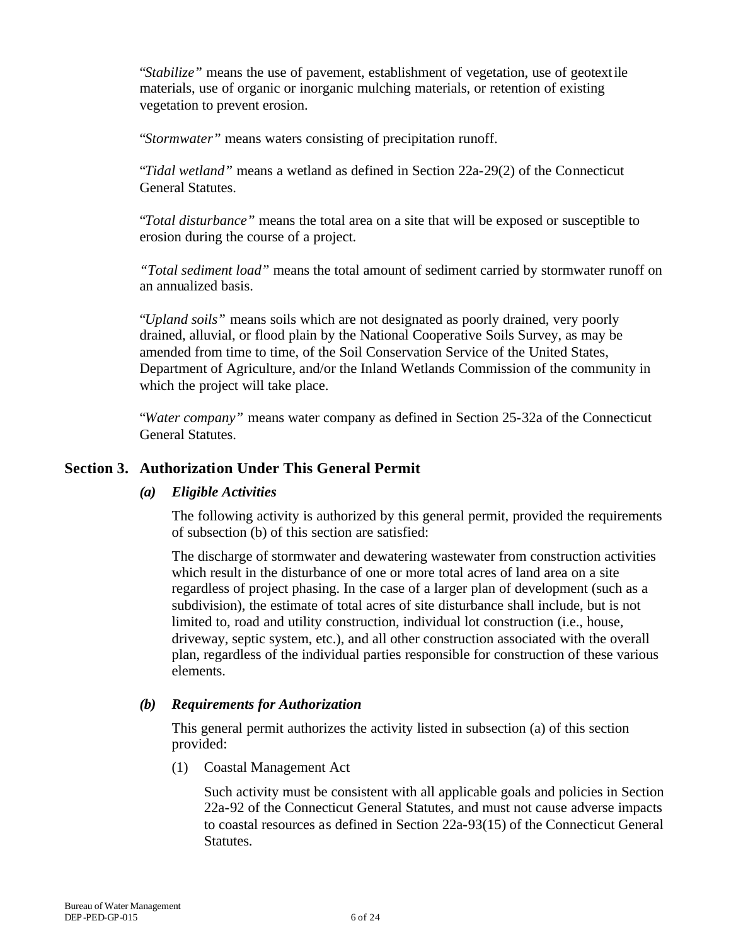"*Stabilize"* means the use of pavement, establishment of vegetation, use of geotextile materials, use of organic or inorganic mulching materials, or retention of existing vegetation to prevent erosion.

"*Stormwater"* means waters consisting of precipitation runoff.

"*Tidal wetland"* means a wetland as defined in Section 22a-29(2) of the Connecticut General Statutes.

"*Total disturbance"* means the total area on a site that will be exposed or susceptible to erosion during the course of a project.

*"Total sediment load"* means the total amount of sediment carried by stormwater runoff on an annualized basis.

"*Upland soils"* means soils which are not designated as poorly drained, very poorly drained, alluvial, or flood plain by the National Cooperative Soils Survey, as may be amended from time to time, of the Soil Conservation Service of the United States, Department of Agriculture, and/or the Inland Wetlands Commission of the community in which the project will take place.

"*Water company"* means water company as defined in Section 25-32a of the Connecticut General Statutes.

#### **Section 3. Authorization Under This General Permit**

#### *(a) Eligible Activities*

The following activity is authorized by this general permit, provided the requirements of subsection (b) of this section are satisfied:

The discharge of stormwater and dewatering wastewater from construction activities which result in the disturbance of one or more total acres of land area on a site regardless of project phasing. In the case of a larger plan of development (such as a subdivision), the estimate of total acres of site disturbance shall include, but is not limited to, road and utility construction, individual lot construction (i.e., house, driveway, septic system, etc.), and all other construction associated with the overall plan, regardless of the individual parties responsible for construction of these various elements.

#### *(b) Requirements for Authorization*

This general permit authorizes the activity listed in subsection (a) of this section provided:

(1) Coastal Management Act

Such activity must be consistent with all applicable goals and policies in Section 22a-92 of the Connecticut General Statutes, and must not cause adverse impacts to coastal resources as defined in Section 22a-93(15) of the Connecticut General Statutes.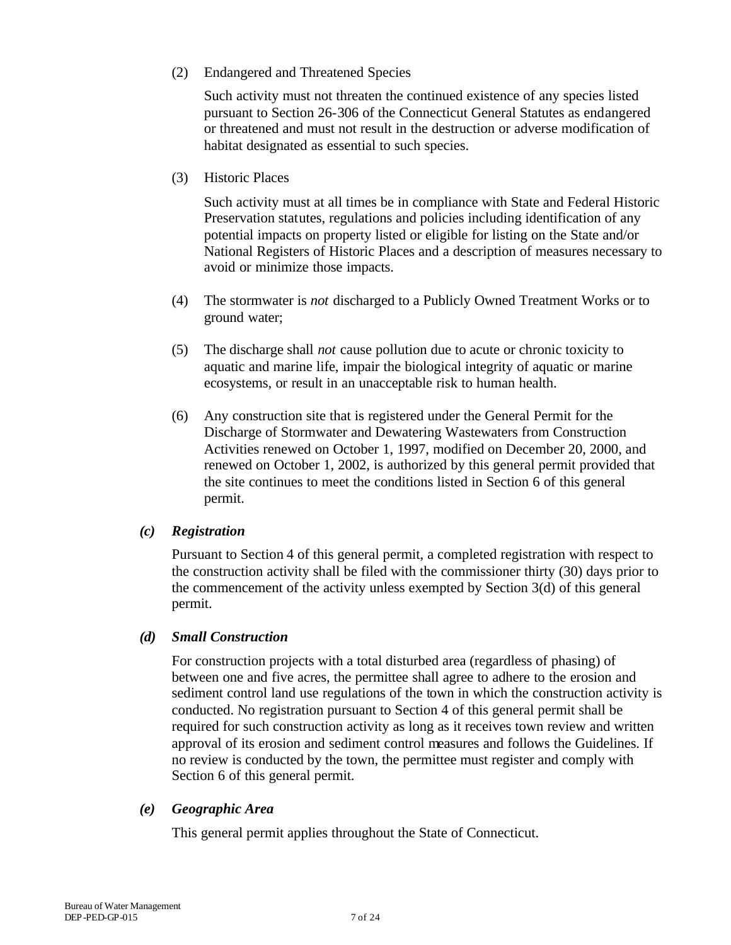(2) Endangered and Threatened Species

Such activity must not threaten the continued existence of any species listed pursuant to Section 26-306 of the Connecticut General Statutes as endangered or threatened and must not result in the destruction or adverse modification of habitat designated as essential to such species.

(3) Historic Places

Such activity must at all times be in compliance with State and Federal Historic Preservation statutes, regulations and policies including identification of any potential impacts on property listed or eligible for listing on the State and/or National Registers of Historic Places and a description of measures necessary to avoid or minimize those impacts.

- (4) The stormwater is *not* discharged to a Publicly Owned Treatment Works or to ground water;
- (5) The discharge shall *not* cause pollution due to acute or chronic toxicity to aquatic and marine life, impair the biological integrity of aquatic or marine ecosystems, or result in an unacceptable risk to human health.
- (6) Any construction site that is registered under the General Permit for the Discharge of Stormwater and Dewatering Wastewaters from Construction Activities renewed on October 1, 1997, modified on December 20, 2000, and renewed on October 1, 2002, is authorized by this general permit provided that the site continues to meet the conditions listed in Section 6 of this general permit.

#### *(c) Registration*

Pursuant to Section 4 of this general permit, a completed registration with respect to the construction activity shall be filed with the commissioner thirty (30) days prior to the commencement of the activity unless exempted by Section 3(d) of this general permit.

#### *(d) Small Construction*

For construction projects with a total disturbed area (regardless of phasing) of between one and five acres, the permittee shall agree to adhere to the erosion and sediment control land use regulations of the town in which the construction activity is conducted. No registration pursuant to Section 4 of this general permit shall be required for such construction activity as long as it receives town review and written approval of its erosion and sediment control measures and follows the Guidelines. If no review is conducted by the town, the permittee must register and comply with Section 6 of this general permit.

#### *(e) Geographic Area*

This general permit applies throughout the State of Connecticut.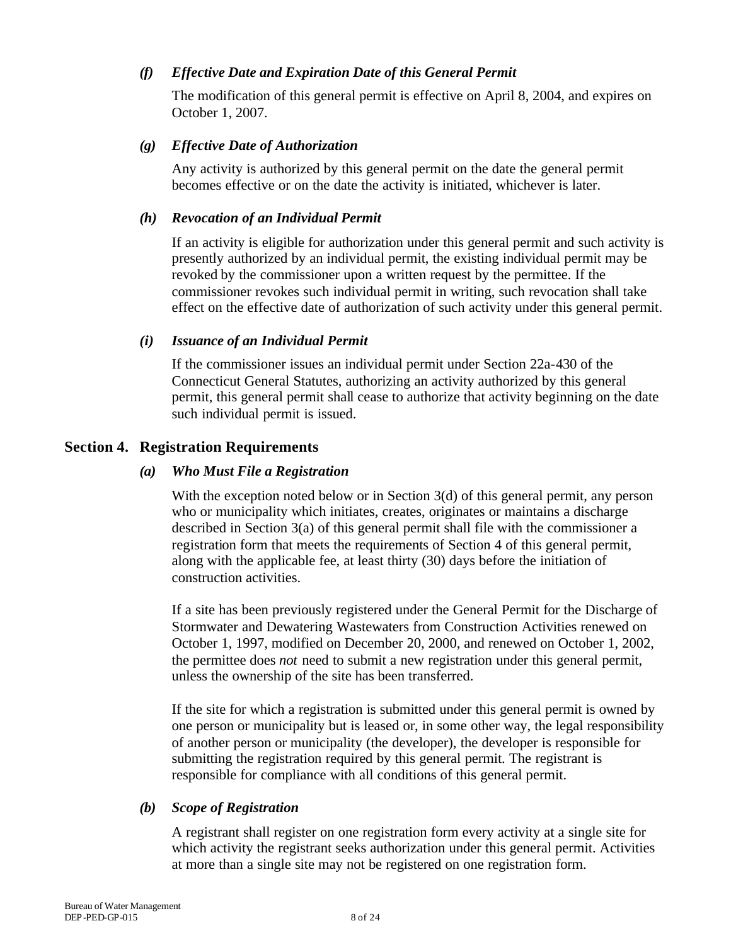#### *(f) Effective Date and Expiration Date of this General Permit*

The modification of this general permit is effective on April 8, 2004, and expires on October 1, 2007.

#### *(g) Effective Date of Authorization*

Any activity is authorized by this general permit on the date the general permit becomes effective or on the date the activity is initiated, whichever is later.

#### *(h) Revocation of an Individual Permit*

If an activity is eligible for authorization under this general permit and such activity is presently authorized by an individual permit, the existing individual permit may be revoked by the commissioner upon a written request by the permittee. If the commissioner revokes such individual permit in writing, such revocation shall take effect on the effective date of authorization of such activity under this general permit.

#### *(i) Issuance of an Individual Permit*

If the commissioner issues an individual permit under Section 22a-430 of the Connecticut General Statutes, authorizing an activity authorized by this general permit, this general permit shall cease to authorize that activity beginning on the date such individual permit is issued.

#### **Section 4. Registration Requirements**

#### *(a) Who Must File a Registration*

With the exception noted below or in Section 3(d) of this general permit, any person who or municipality which initiates, creates, originates or maintains a discharge described in Section 3(a) of this general permit shall file with the commissioner a registration form that meets the requirements of Section 4 of this general permit, along with the applicable fee, at least thirty (30) days before the initiation of construction activities.

If a site has been previously registered under the General Permit for the Discharge of Stormwater and Dewatering Wastewaters from Construction Activities renewed on October 1, 1997, modified on December 20, 2000, and renewed on October 1, 2002, the permittee does *not* need to submit a new registration under this general permit, unless the ownership of the site has been transferred.

If the site for which a registration is submitted under this general permit is owned by one person or municipality but is leased or, in some other way, the legal responsibility of another person or municipality (the developer), the developer is responsible for submitting the registration required by this general permit. The registrant is responsible for compliance with all conditions of this general permit.

#### *(b) Scope of Registration*

A registrant shall register on one registration form every activity at a single site for which activity the registrant seeks authorization under this general permit. Activities at more than a single site may not be registered on one registration form.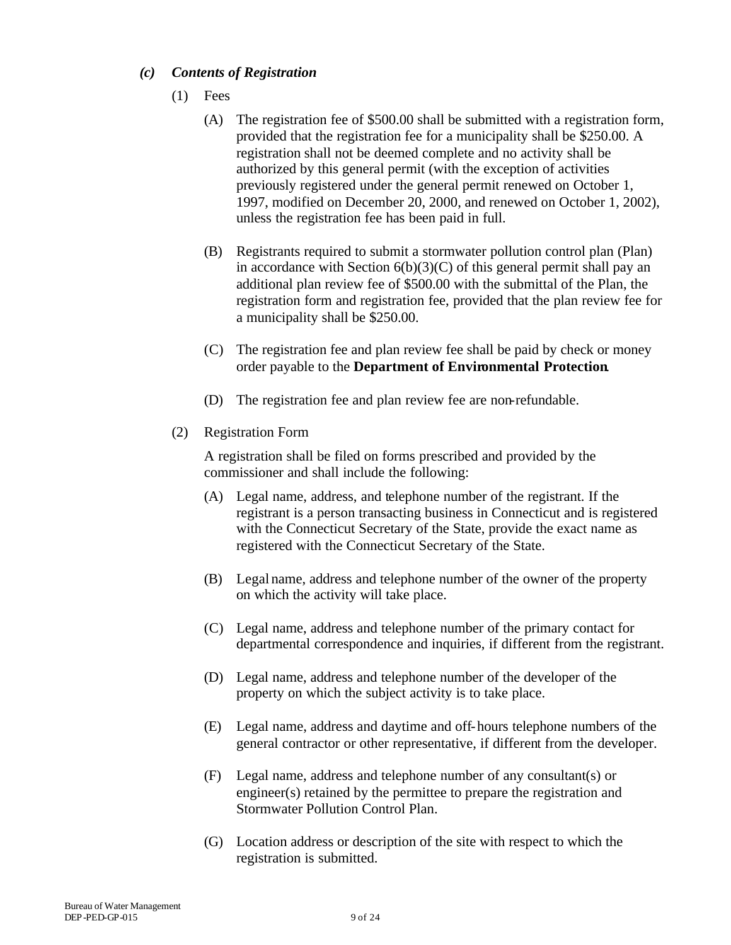#### *(c) Contents of Registration*

- (1) Fees
	- (A) The registration fee of \$500.00 shall be submitted with a registration form, provided that the registration fee for a municipality shall be \$250.00. A registration shall not be deemed complete and no activity shall be authorized by this general permit (with the exception of activities previously registered under the general permit renewed on October 1, 1997, modified on December 20, 2000, and renewed on October 1, 2002), unless the registration fee has been paid in full.
	- (B) Registrants required to submit a stormwater pollution control plan (Plan) in accordance with Section  $6(b)(3)(C)$  of this general permit shall pay an additional plan review fee of \$500.00 with the submittal of the Plan, the registration form and registration fee, provided that the plan review fee for a municipality shall be \$250.00.
	- (C) The registration fee and plan review fee shall be paid by check or money order payable to the **Department of Environmental Protection**.
	- (D) The registration fee and plan review fee are non-refundable.
- (2) Registration Form

A registration shall be filed on forms prescribed and provided by the commissioner and shall include the following:

- (A) Legal name, address, and telephone number of the registrant. If the registrant is a person transacting business in Connecticut and is registered with the Connecticut Secretary of the State, provide the exact name as registered with the Connecticut Secretary of the State.
- (B) Legal name, address and telephone number of the owner of the property on which the activity will take place.
- (C) Legal name, address and telephone number of the primary contact for departmental correspondence and inquiries, if different from the registrant.
- (D) Legal name, address and telephone number of the developer of the property on which the subject activity is to take place.
- (E) Legal name, address and daytime and off-hours telephone numbers of the general contractor or other representative, if different from the developer.
- (F) Legal name, address and telephone number of any consultant(s) or engineer(s) retained by the permittee to prepare the registration and Stormwater Pollution Control Plan.
- (G) Location address or description of the site with respect to which the registration is submitted.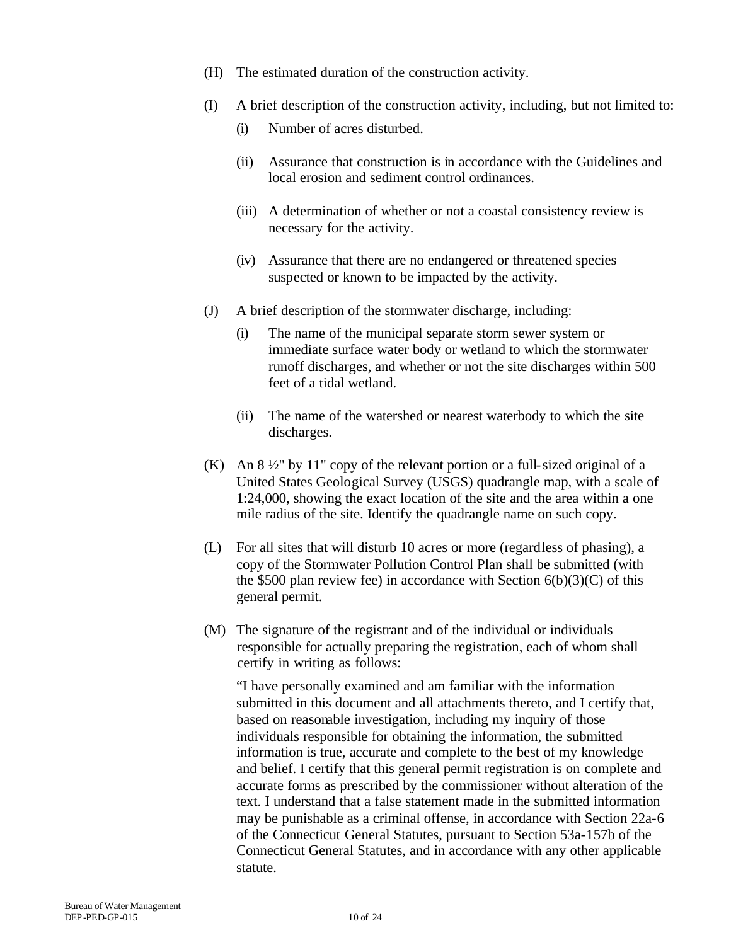- (H) The estimated duration of the construction activity.
- (I) A brief description of the construction activity, including, but not limited to:
	- (i) Number of acres disturbed.
	- (ii) Assurance that construction is in accordance with the Guidelines and local erosion and sediment control ordinances.
	- (iii) A determination of whether or not a coastal consistency review is necessary for the activity.
	- (iv) Assurance that there are no endangered or threatened species suspected or known to be impacted by the activity.
- (J) A brief description of the stormwater discharge, including:
	- (i) The name of the municipal separate storm sewer system or immediate surface water body or wetland to which the stormwater runoff discharges, and whether or not the site discharges within 500 feet of a tidal wetland.
	- (ii) The name of the watershed or nearest waterbody to which the site discharges.
- (K) An  $8\frac{1}{2}$ " by 11" copy of the relevant portion or a full-sized original of a United States Geological Survey (USGS) quadrangle map, with a scale of 1:24,000, showing the exact location of the site and the area within a one mile radius of the site. Identify the quadrangle name on such copy.
- (L) For all sites that will disturb 10 acres or more (regardless of phasing), a copy of the Stormwater Pollution Control Plan shall be submitted (with the \$500 plan review fee) in accordance with Section  $6(b)(3)(C)$  of this general permit.
- (M) The signature of the registrant and of the individual or individuals responsible for actually preparing the registration, each of whom shall certify in writing as follows:

"I have personally examined and am familiar with the information submitted in this document and all attachments thereto, and I certify that, based on reasonable investigation, including my inquiry of those individuals responsible for obtaining the information, the submitted information is true, accurate and complete to the best of my knowledge and belief. I certify that this general permit registration is on complete and accurate forms as prescribed by the commissioner without alteration of the text. I understand that a false statement made in the submitted information may be punishable as a criminal offense, in accordance with Section 22a-6 of the Connecticut General Statutes, pursuant to Section 53a-157b of the Connecticut General Statutes, and in accordance with any other applicable statute.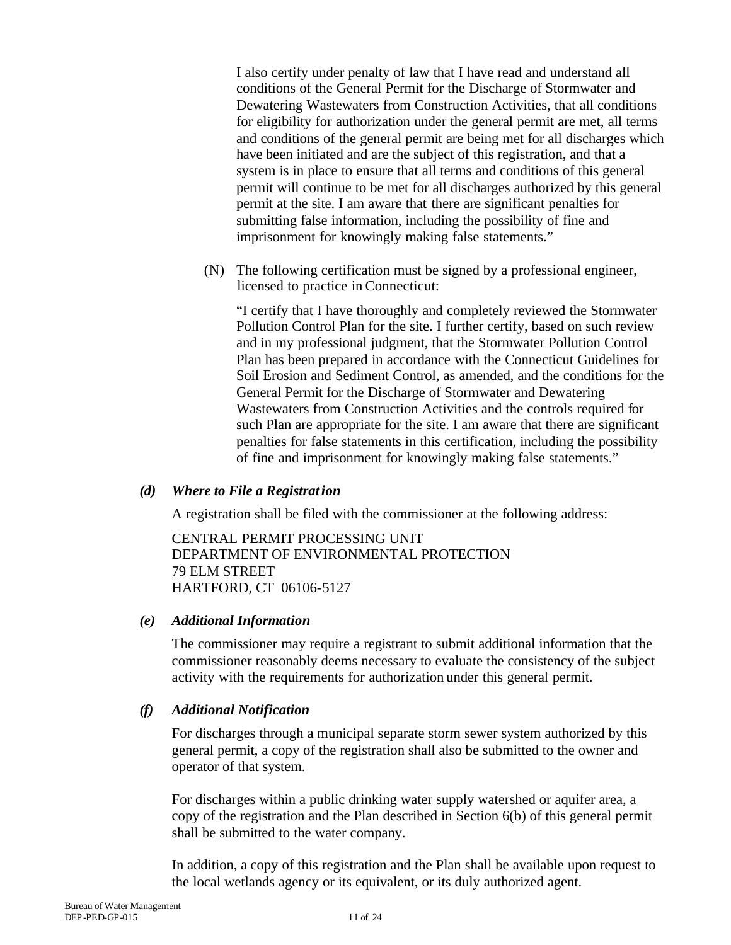I also certify under penalty of law that I have read and understand all conditions of the General Permit for the Discharge of Stormwater and Dewatering Wastewaters from Construction Activities, that all conditions for eligibility for authorization under the general permit are met, all terms and conditions of the general permit are being met for all discharges which have been initiated and are the subject of this registration, and that a system is in place to ensure that all terms and conditions of this general permit will continue to be met for all discharges authorized by this general permit at the site. I am aware that there are significant penalties for submitting false information, including the possibility of fine and imprisonment for knowingly making false statements."

(N) The following certification must be signed by a professional engineer, licensed to practice in Connecticut:

"I certify that I have thoroughly and completely reviewed the Stormwater Pollution Control Plan for the site. I further certify, based on such review and in my professional judgment, that the Stormwater Pollution Control Plan has been prepared in accordance with the Connecticut Guidelines for Soil Erosion and Sediment Control, as amended, and the conditions for the General Permit for the Discharge of Stormwater and Dewatering Wastewaters from Construction Activities and the controls required for such Plan are appropriate for the site. I am aware that there are significant penalties for false statements in this certification, including the possibility of fine and imprisonment for knowingly making false statements."

#### *(d) Where to File a Registration*

A registration shall be filed with the commissioner at the following address:

CENTRAL PERMIT PROCESSING UNIT DEPARTMENT OF ENVIRONMENTAL PROTECTION 79 ELM STREET HARTFORD, CT 06106-5127

#### *(e) Additional Information*

The commissioner may require a registrant to submit additional information that the commissioner reasonably deems necessary to evaluate the consistency of the subject activity with the requirements for authorization under this general permit.

#### *(f) Additional Notification*

For discharges through a municipal separate storm sewer system authorized by this general permit, a copy of the registration shall also be submitted to the owner and operator of that system.

For discharges within a public drinking water supply watershed or aquifer area, a copy of the registration and the Plan described in Section 6(b) of this general permit shall be submitted to the water company.

In addition, a copy of this registration and the Plan shall be available upon request to the local wetlands agency or its equivalent, or its duly authorized agent.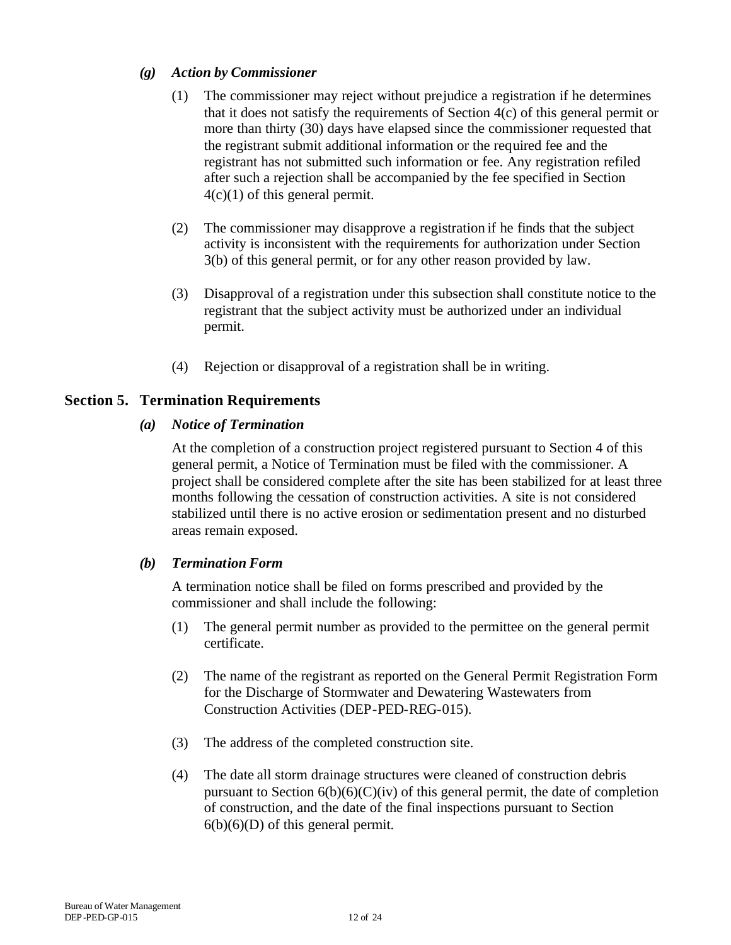#### *(g) Action by Commissioner*

- (1) The commissioner may reject without prejudice a registration if he determines that it does not satisfy the requirements of Section 4(c) of this general permit or more than thirty (30) days have elapsed since the commissioner requested that the registrant submit additional information or the required fee and the registrant has not submitted such information or fee. Any registration refiled after such a rejection shall be accompanied by the fee specified in Section  $4(c)(1)$  of this general permit.
- (2) The commissioner may disapprove a registration if he finds that the subject activity is inconsistent with the requirements for authorization under Section 3(b) of this general permit, or for any other reason provided by law.
- (3) Disapproval of a registration under this subsection shall constitute notice to the registrant that the subject activity must be authorized under an individual permit.
- (4) Rejection or disapproval of a registration shall be in writing.

#### **Section 5. Termination Requirements**

#### *(a) Notice of Termination*

At the completion of a construction project registered pursuant to Section 4 of this general permit, a Notice of Termination must be filed with the commissioner. A project shall be considered complete after the site has been stabilized for at least three months following the cessation of construction activities. A site is not considered stabilized until there is no active erosion or sedimentation present and no disturbed areas remain exposed.

#### *(b) Termination Form*

A termination notice shall be filed on forms prescribed and provided by the commissioner and shall include the following:

- (1) The general permit number as provided to the permittee on the general permit certificate.
- (2) The name of the registrant as reported on the General Permit Registration Form for the Discharge of Stormwater and Dewatering Wastewaters from Construction Activities (DEP-PED-REG-015).
- (3) The address of the completed construction site.
- (4) The date all storm drainage structures were cleaned of construction debris pursuant to Section  $6(b)(6)(C)(iv)$  of this general permit, the date of completion of construction, and the date of the final inspections pursuant to Section  $6(b)(6)(D)$  of this general permit.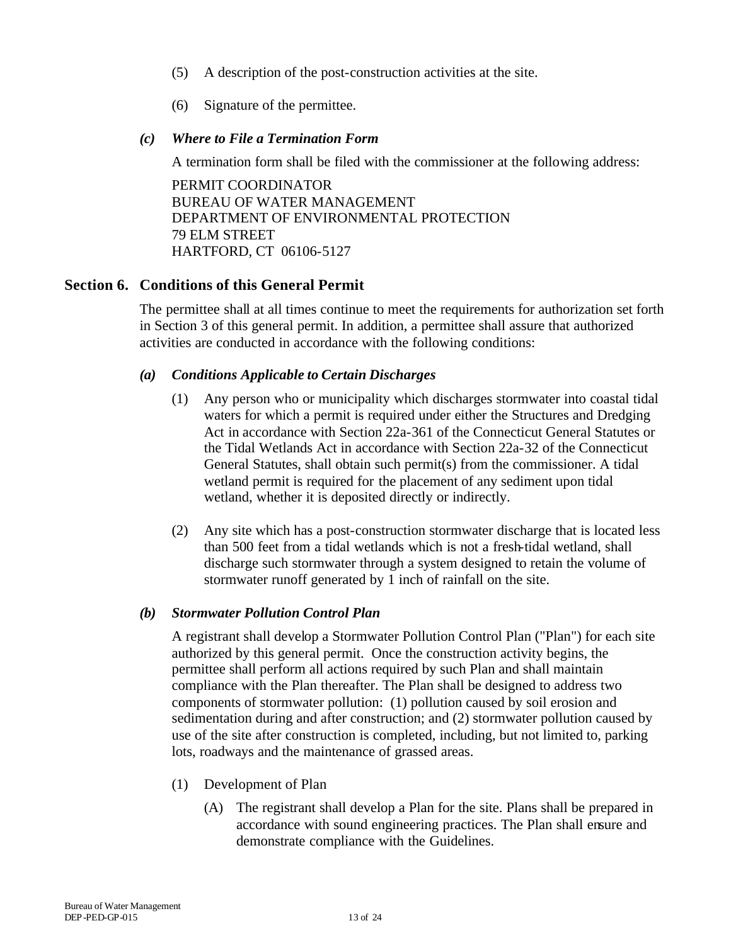- (5) A description of the post-construction activities at the site.
- (6) Signature of the permittee.

#### *(c) Where to File a Termination Form*

A termination form shall be filed with the commissioner at the following address:

PERMIT COORDINATOR BUREAU OF WATER MANAGEMENT DEPARTMENT OF ENVIRONMENTAL PROTECTION 79 ELM STREET HARTFORD, CT 06106-5127

#### **Section 6. Conditions of this General Permit**

The permittee shall at all times continue to meet the requirements for authorization set forth in Section 3 of this general permit. In addition, a permittee shall assure that authorized activities are conducted in accordance with the following conditions:

#### *(a) Conditions Applicable to Certain Discharges*

- (1) Any person who or municipality which discharges stormwater into coastal tidal waters for which a permit is required under either the Structures and Dredging Act in accordance with Section 22a-361 of the Connecticut General Statutes or the Tidal Wetlands Act in accordance with Section 22a-32 of the Connecticut General Statutes, shall obtain such permit(s) from the commissioner. A tidal wetland permit is required for the placement of any sediment upon tidal wetland, whether it is deposited directly or indirectly.
- (2) Any site which has a post-construction stormwater discharge that is located less than 500 feet from a tidal wetlands which is not a fresh-tidal wetland, shall discharge such stormwater through a system designed to retain the volume of stormwater runoff generated by 1 inch of rainfall on the site.

#### *(b) Stormwater Pollution Control Plan*

A registrant shall develop a Stormwater Pollution Control Plan ("Plan") for each site authorized by this general permit. Once the construction activity begins, the permittee shall perform all actions required by such Plan and shall maintain compliance with the Plan thereafter. The Plan shall be designed to address two components of stormwater pollution: (1) pollution caused by soil erosion and sedimentation during and after construction; and (2) stormwater pollution caused by use of the site after construction is completed, including, but not limited to, parking lots, roadways and the maintenance of grassed areas.

- (1) Development of Plan
	- (A) The registrant shall develop a Plan for the site. Plans shall be prepared in accordance with sound engineering practices. The Plan shall ensure and demonstrate compliance with the Guidelines.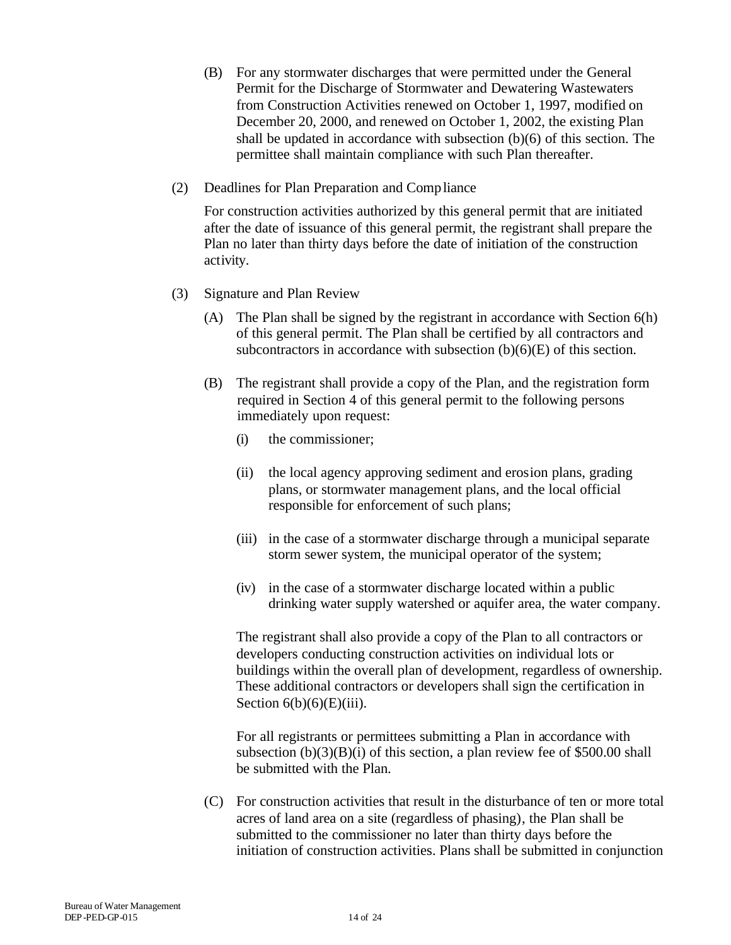- (B) For any stormwater discharges that were permitted under the General Permit for the Discharge of Stormwater and Dewatering Wastewaters from Construction Activities renewed on October 1, 1997, modified on December 20, 2000, and renewed on October 1, 2002, the existing Plan shall be updated in accordance with subsection (b)(6) of this section. The permittee shall maintain compliance with such Plan thereafter.
- (2) Deadlines for Plan Preparation and Compliance

For construction activities authorized by this general permit that are initiated after the date of issuance of this general permit, the registrant shall prepare the Plan no later than thirty days before the date of initiation of the construction activity.

- (3) Signature and Plan Review
	- (A) The Plan shall be signed by the registrant in accordance with Section 6(h) of this general permit. The Plan shall be certified by all contractors and subcontractors in accordance with subsection (b)(6)(E) of this section.
	- (B) The registrant shall provide a copy of the Plan, and the registration form required in Section 4 of this general permit to the following persons immediately upon request:
		- (i) the commissioner;
		- (ii) the local agency approving sediment and erosion plans, grading plans, or stormwater management plans, and the local official responsible for enforcement of such plans;
		- (iii) in the case of a stormwater discharge through a municipal separate storm sewer system, the municipal operator of the system;
		- (iv) in the case of a stormwater discharge located within a public drinking water supply watershed or aquifer area, the water company.

The registrant shall also provide a copy of the Plan to all contractors or developers conducting construction activities on individual lots or buildings within the overall plan of development, regardless of ownership. These additional contractors or developers shall sign the certification in Section  $6(b)(6)(E)(iii)$ .

For all registrants or permittees submitting a Plan in accordance with subsection  $(b)(3)(B)(i)$  of this section, a plan review fee of \$500.00 shall be submitted with the Plan.

(C) For construction activities that result in the disturbance of ten or more total acres of land area on a site (regardless of phasing), the Plan shall be submitted to the commissioner no later than thirty days before the initiation of construction activities. Plans shall be submitted in conjunction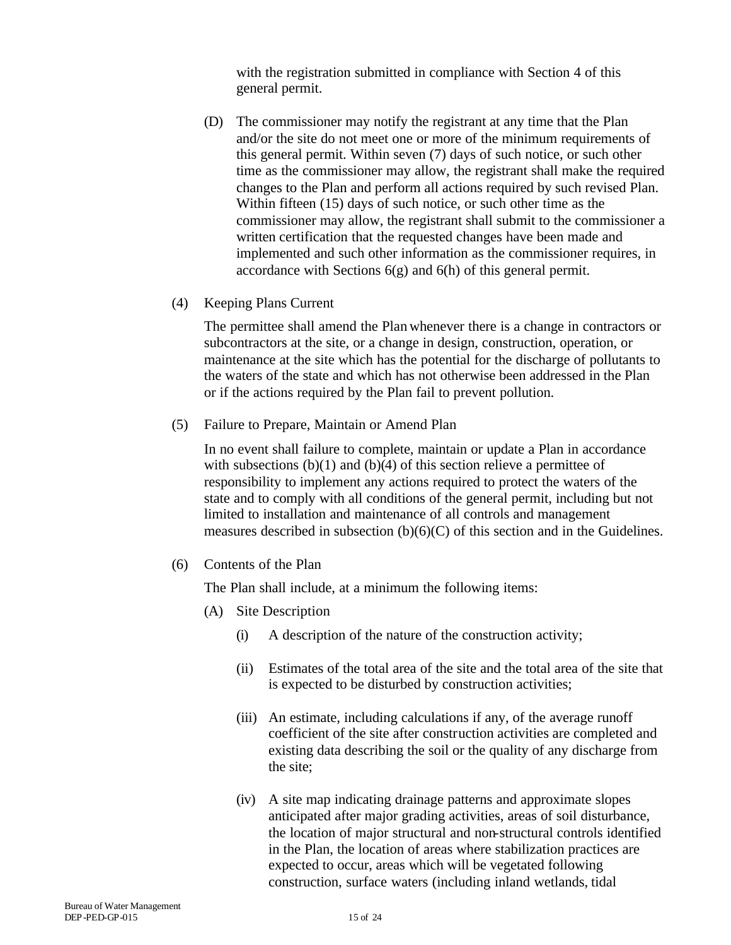with the registration submitted in compliance with Section 4 of this general permit.

- (D) The commissioner may notify the registrant at any time that the Plan and/or the site do not meet one or more of the minimum requirements of this general permit. Within seven (7) days of such notice, or such other time as the commissioner may allow, the registrant shall make the required changes to the Plan and perform all actions required by such revised Plan. Within fifteen (15) days of such notice, or such other time as the commissioner may allow, the registrant shall submit to the commissioner a written certification that the requested changes have been made and implemented and such other information as the commissioner requires, in accordance with Sections  $6(g)$  and  $6(h)$  of this general permit.
- (4) Keeping Plans Current

The permittee shall amend the Plan whenever there is a change in contractors or subcontractors at the site, or a change in design, construction, operation, or maintenance at the site which has the potential for the discharge of pollutants to the waters of the state and which has not otherwise been addressed in the Plan or if the actions required by the Plan fail to prevent pollution.

(5) Failure to Prepare, Maintain or Amend Plan

In no event shall failure to complete, maintain or update a Plan in accordance with subsections  $(b)(1)$  and  $(b)(4)$  of this section relieve a permittee of responsibility to implement any actions required to protect the waters of the state and to comply with all conditions of the general permit, including but not limited to installation and maintenance of all controls and management measures described in subsection (b)(6)(C) of this section and in the Guidelines.

(6) Contents of the Plan

The Plan shall include, at a minimum the following items:

- (A) Site Description
	- (i) A description of the nature of the construction activity;
	- (ii) Estimates of the total area of the site and the total area of the site that is expected to be disturbed by construction activities;
	- (iii) An estimate, including calculations if any, of the average runoff coefficient of the site after construction activities are completed and existing data describing the soil or the quality of any discharge from the site;
	- (iv) A site map indicating drainage patterns and approximate slopes anticipated after major grading activities, areas of soil disturbance, the location of major structural and non-structural controls identified in the Plan, the location of areas where stabilization practices are expected to occur, areas which will be vegetated following construction, surface waters (including inland wetlands, tidal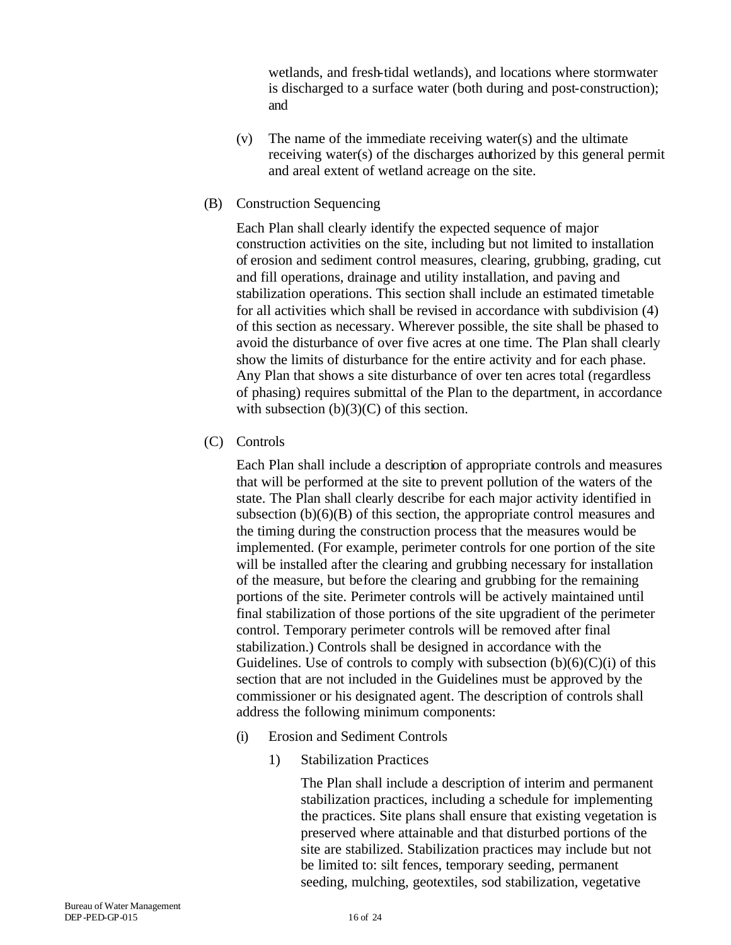wetlands, and fresh-tidal wetlands), and locations where stormwater is discharged to a surface water (both during and post-construction); and

- (v) The name of the immediate receiving water(s) and the ultimate receiving water(s) of the discharges authorized by this general permit and areal extent of wetland acreage on the site.
- (B) Construction Sequencing

Each Plan shall clearly identify the expected sequence of major construction activities on the site, including but not limited to installation of erosion and sediment control measures, clearing, grubbing, grading, cut and fill operations, drainage and utility installation, and paving and stabilization operations. This section shall include an estimated timetable for all activities which shall be revised in accordance with subdivision (4) of this section as necessary. Wherever possible, the site shall be phased to avoid the disturbance of over five acres at one time. The Plan shall clearly show the limits of disturbance for the entire activity and for each phase. Any Plan that shows a site disturbance of over ten acres total (regardless of phasing) requires submittal of the Plan to the department, in accordance with subsection  $(b)(3)(C)$  of this section.

(C) Controls

Each Plan shall include a description of appropriate controls and measures that will be performed at the site to prevent pollution of the waters of the state. The Plan shall clearly describe for each major activity identified in subsection  $(b)(6)(B)$  of this section, the appropriate control measures and the timing during the construction process that the measures would be implemented. (For example, perimeter controls for one portion of the site will be installed after the clearing and grubbing necessary for installation of the measure, but before the clearing and grubbing for the remaining portions of the site. Perimeter controls will be actively maintained until final stabilization of those portions of the site upgradient of the perimeter control. Temporary perimeter controls will be removed after final stabilization.) Controls shall be designed in accordance with the Guidelines. Use of controls to comply with subsection  $(b)(6)(C)(i)$  of this section that are not included in the Guidelines must be approved by the commissioner or his designated agent. The description of controls shall address the following minimum components:

- (i) Erosion and Sediment Controls
	- 1) Stabilization Practices

The Plan shall include a description of interim and permanent stabilization practices, including a schedule for implementing the practices. Site plans shall ensure that existing vegetation is preserved where attainable and that disturbed portions of the site are stabilized. Stabilization practices may include but not be limited to: silt fences, temporary seeding, permanent seeding, mulching, geotextiles, sod stabilization, vegetative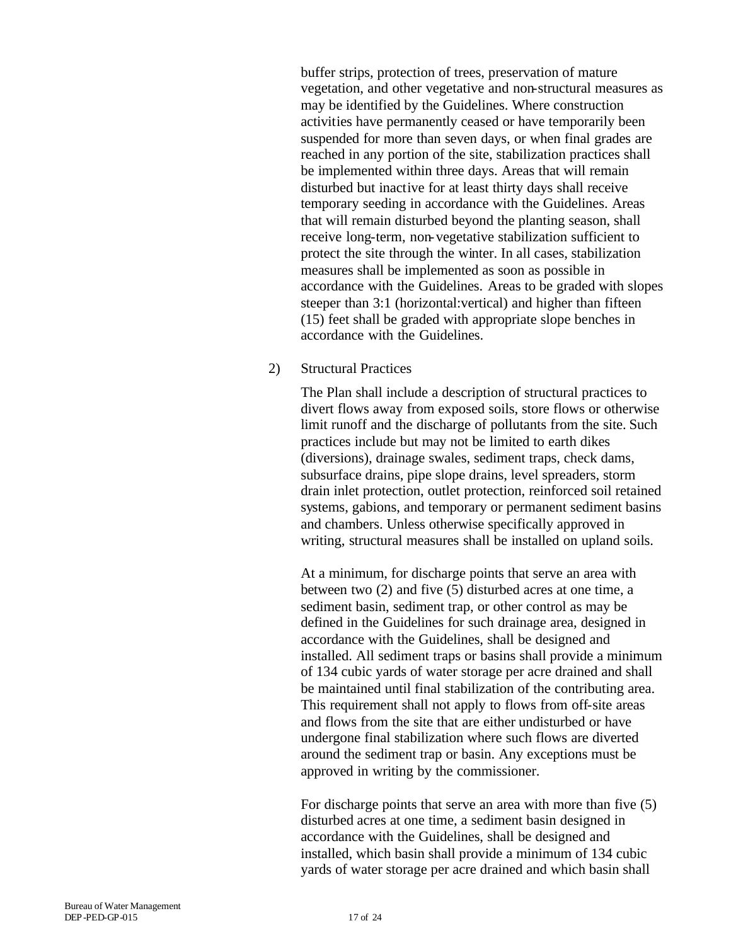buffer strips, protection of trees, preservation of mature vegetation, and other vegetative and non-structural measures as may be identified by the Guidelines. Where construction activities have permanently ceased or have temporarily been suspended for more than seven days, or when final grades are reached in any portion of the site, stabilization practices shall be implemented within three days. Areas that will remain disturbed but inactive for at least thirty days shall receive temporary seeding in accordance with the Guidelines. Areas that will remain disturbed beyond the planting season, shall receive long-term, non-vegetative stabilization sufficient to protect the site through the winter. In all cases, stabilization measures shall be implemented as soon as possible in accordance with the Guidelines. Areas to be graded with slopes steeper than 3:1 (horizontal:vertical) and higher than fifteen (15) feet shall be graded with appropriate slope benches in accordance with the Guidelines.

2) Structural Practices

The Plan shall include a description of structural practices to divert flows away from exposed soils, store flows or otherwise limit runoff and the discharge of pollutants from the site. Such practices include but may not be limited to earth dikes (diversions), drainage swales, sediment traps, check dams, subsurface drains, pipe slope drains, level spreaders, storm drain inlet protection, outlet protection, reinforced soil retained systems, gabions, and temporary or permanent sediment basins and chambers. Unless otherwise specifically approved in writing, structural measures shall be installed on upland soils.

At a minimum, for discharge points that serve an area with between two (2) and five (5) disturbed acres at one time, a sediment basin, sediment trap, or other control as may be defined in the Guidelines for such drainage area, designed in accordance with the Guidelines, shall be designed and installed. All sediment traps or basins shall provide a minimum of 134 cubic yards of water storage per acre drained and shall be maintained until final stabilization of the contributing area. This requirement shall not apply to flows from off-site areas and flows from the site that are either undisturbed or have undergone final stabilization where such flows are diverted around the sediment trap or basin. Any exceptions must be approved in writing by the commissioner.

For discharge points that serve an area with more than five (5) disturbed acres at one time, a sediment basin designed in accordance with the Guidelines, shall be designed and installed, which basin shall provide a minimum of 134 cubic yards of water storage per acre drained and which basin shall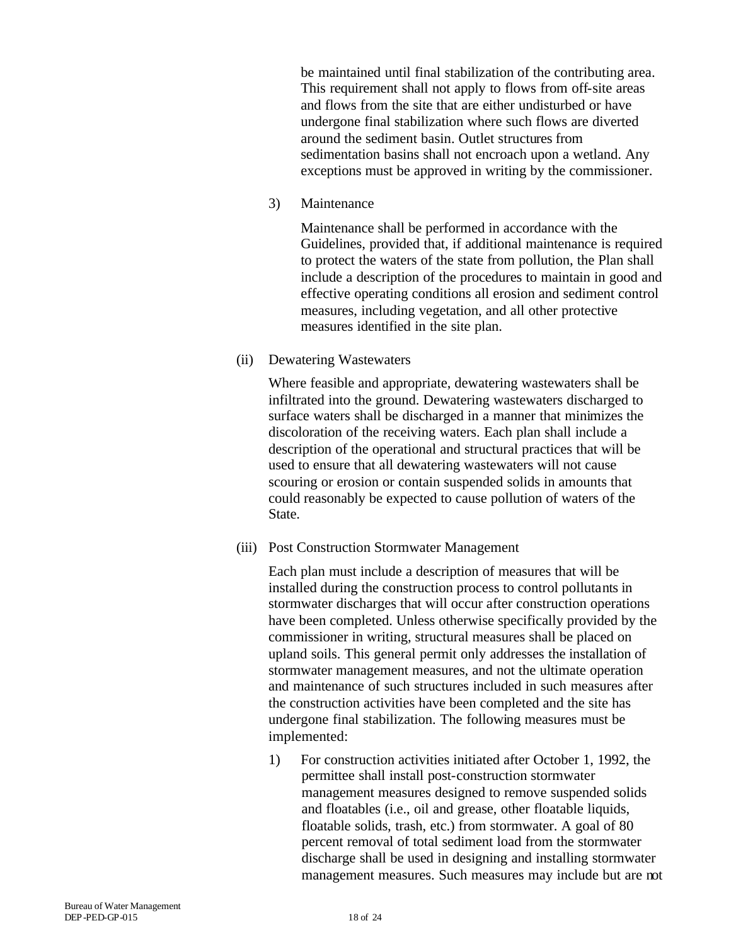be maintained until final stabilization of the contributing area. This requirement shall not apply to flows from off-site areas and flows from the site that are either undisturbed or have undergone final stabilization where such flows are diverted around the sediment basin. Outlet structures from sedimentation basins shall not encroach upon a wetland. Any exceptions must be approved in writing by the commissioner.

3) Maintenance

Maintenance shall be performed in accordance with the Guidelines, provided that, if additional maintenance is required to protect the waters of the state from pollution, the Plan shall include a description of the procedures to maintain in good and effective operating conditions all erosion and sediment control measures, including vegetation, and all other protective measures identified in the site plan.

(ii) Dewatering Wastewaters

Where feasible and appropriate, dewatering wastewaters shall be infiltrated into the ground. Dewatering wastewaters discharged to surface waters shall be discharged in a manner that minimizes the discoloration of the receiving waters. Each plan shall include a description of the operational and structural practices that will be used to ensure that all dewatering wastewaters will not cause scouring or erosion or contain suspended solids in amounts that could reasonably be expected to cause pollution of waters of the State.

(iii) Post Construction Stormwater Management

Each plan must include a description of measures that will be installed during the construction process to control pollutants in stormwater discharges that will occur after construction operations have been completed. Unless otherwise specifically provided by the commissioner in writing, structural measures shall be placed on upland soils. This general permit only addresses the installation of stormwater management measures, and not the ultimate operation and maintenance of such structures included in such measures after the construction activities have been completed and the site has undergone final stabilization. The following measures must be implemented:

1) For construction activities initiated after October 1, 1992, the permittee shall install post-construction stormwater management measures designed to remove suspended solids and floatables (i.e., oil and grease, other floatable liquids, floatable solids, trash, etc.) from stormwater. A goal of 80 percent removal of total sediment load from the stormwater discharge shall be used in designing and installing stormwater management measures. Such measures may include but are not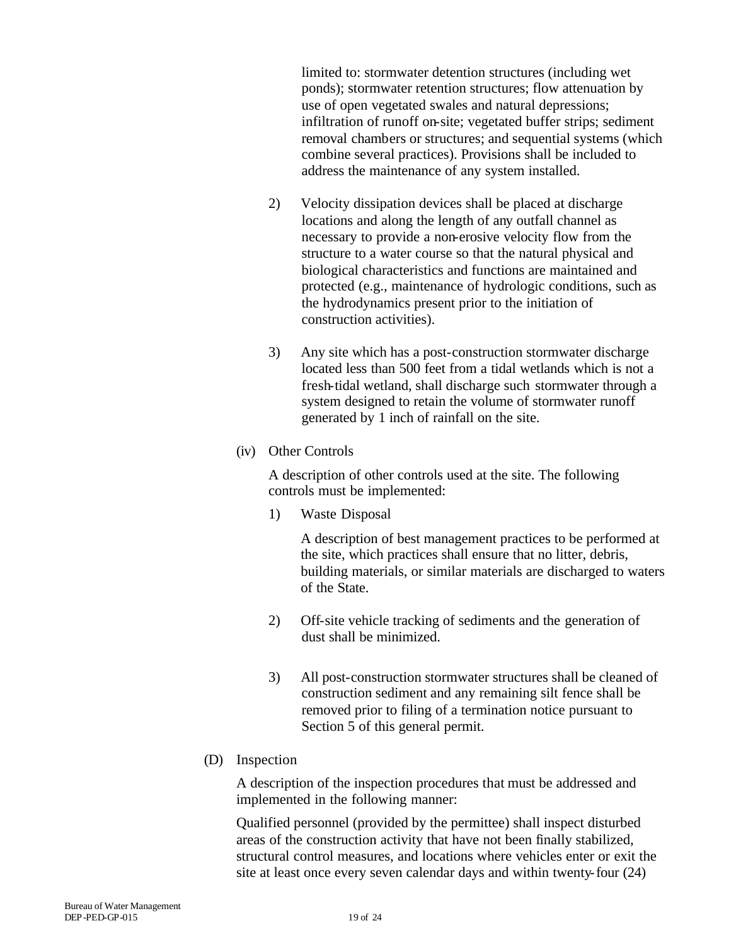limited to: stormwater detention structures (including wet ponds); stormwater retention structures; flow attenuation by use of open vegetated swales and natural depressions; infiltration of runoff on-site; vegetated buffer strips; sediment removal chambers or structures; and sequential systems (which combine several practices). Provisions shall be included to address the maintenance of any system installed.

- 2) Velocity dissipation devices shall be placed at discharge locations and along the length of any outfall channel as necessary to provide a non-erosive velocity flow from the structure to a water course so that the natural physical and biological characteristics and functions are maintained and protected (e.g., maintenance of hydrologic conditions, such as the hydrodynamics present prior to the initiation of construction activities).
- 3) Any site which has a post-construction stormwater discharge located less than 500 feet from a tidal wetlands which is not a fresh-tidal wetland, shall discharge such stormwater through a system designed to retain the volume of stormwater runoff generated by 1 inch of rainfall on the site.
- (iv) Other Controls

A description of other controls used at the site. The following controls must be implemented:

1) Waste Disposal

A description of best management practices to be performed at the site, which practices shall ensure that no litter, debris, building materials, or similar materials are discharged to waters of the State.

- 2) Off-site vehicle tracking of sediments and the generation of dust shall be minimized.
- 3) All post-construction stormwater structures shall be cleaned of construction sediment and any remaining silt fence shall be removed prior to filing of a termination notice pursuant to Section 5 of this general permit.
- (D) Inspection

A description of the inspection procedures that must be addressed and implemented in the following manner:

Qualified personnel (provided by the permittee) shall inspect disturbed areas of the construction activity that have not been finally stabilized, structural control measures, and locations where vehicles enter or exit the site at least once every seven calendar days and within twenty-four (24)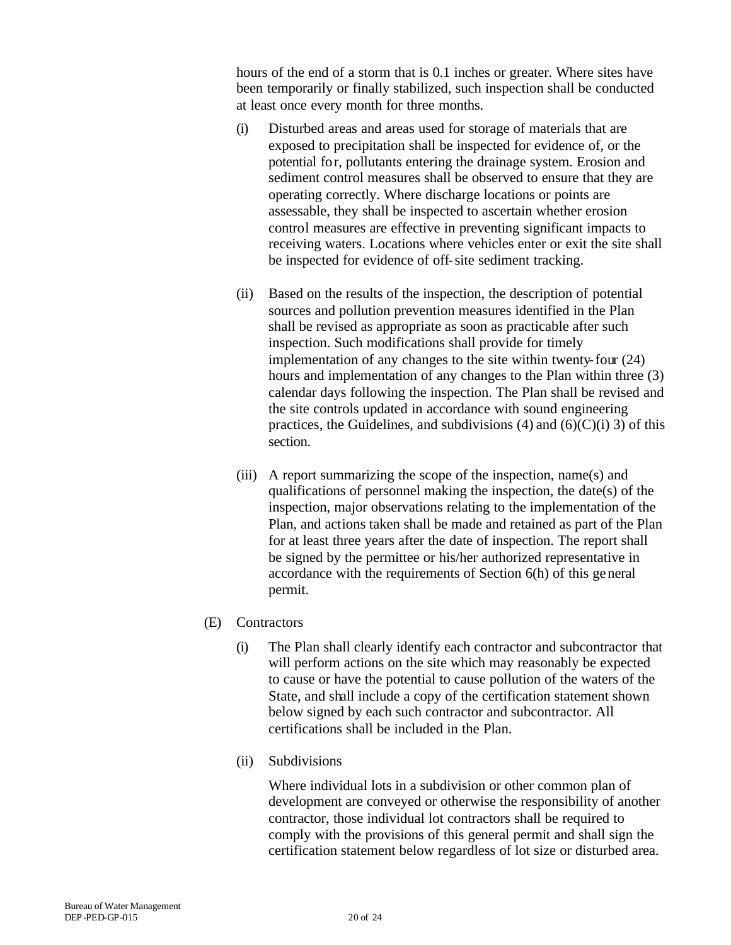hours of the end of a storm that is 0.1 inches or greater. Where sites have been temporarily or finally stabilized, such inspection shall be conducted at least once every month for three months.

- (i) Disturbed areas and areas used for storage of materials that are exposed to precipitation shall be inspected for evidence of, or the potential for, pollutants entering the drainage system. Erosion and sediment control measures shall be observed to ensure that they are operating correctly. Where discharge locations or points are assessable, they shall be inspected to ascertain whether erosion control measures are effective in preventing significant impacts to receiving waters. Locations where vehicles enter or exit the site shall be inspected for evidence of off-site sediment tracking.
- (ii) Based on the results of the inspection, the description of potential sources and pollution prevention measures identified in the Plan shall be revised as appropriate as soon as practicable after such inspection. Such modifications shall provide for timely implementation of any changes to the site within twenty-four (24) hours and implementation of any changes to the Plan within three (3) calendar days following the inspection. The Plan shall be revised and the site controls updated in accordance with sound engineering practices, the Guidelines, and subdivisions  $(4)$  and  $(6)(C)(i)$  3) of this section.
- (iii) A report summarizing the scope of the inspection, name(s) and qualifications of personnel making the inspection, the date(s) of the inspection, major observations relating to the implementation of the Plan, and actions taken shall be made and retained as part of the Plan for at least three years after the date of inspection. The report shall be signed by the permittee or his/her authorized representative in accordance with the requirements of Section 6(h) of this general permit.
- (E) Contractors
	- (i) The Plan shall clearly identify each contractor and subcontractor that will perform actions on the site which may reasonably be expected to cause or have the potential to cause pollution of the waters of the State, and shall include a copy of the certification statement shown below signed by each such contractor and subcontractor. All certifications shall be included in the Plan.
	- (ii) Subdivisions

Where individual lots in a subdivision or other common plan of development are conveyed or otherwise the responsibility of another contractor, those individual lot contractors shall be required to comply with the provisions of this general permit and shall sign the certification statement below regardless of lot size or disturbed area.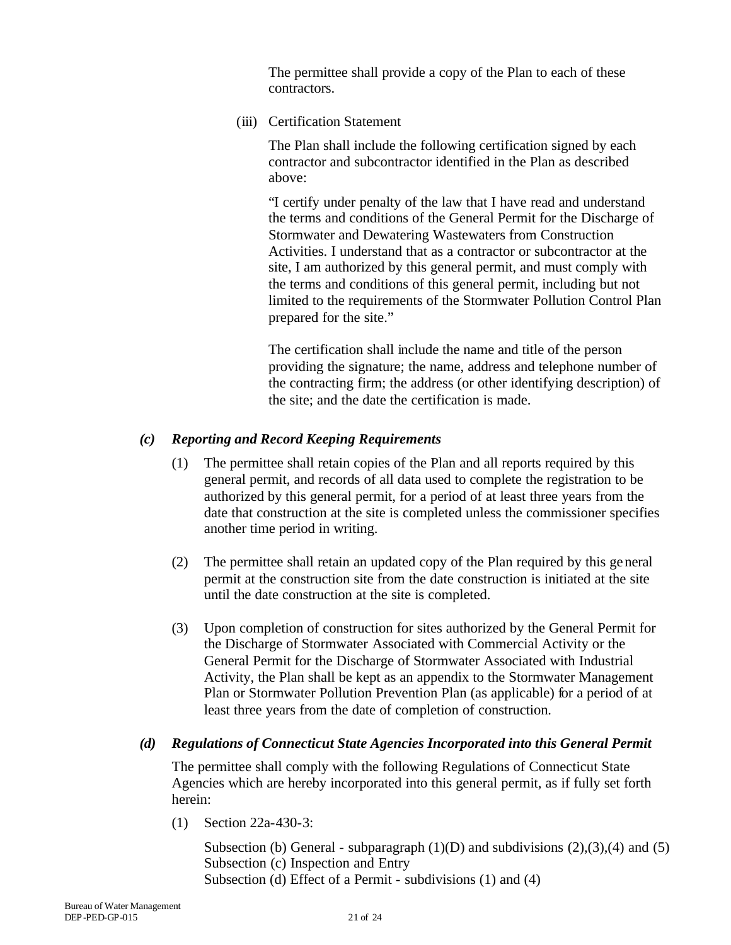The permittee shall provide a copy of the Plan to each of these contractors.

(iii) Certification Statement

The Plan shall include the following certification signed by each contractor and subcontractor identified in the Plan as described above:

"I certify under penalty of the law that I have read and understand the terms and conditions of the General Permit for the Discharge of Stormwater and Dewatering Wastewaters from Construction Activities. I understand that as a contractor or subcontractor at the site, I am authorized by this general permit, and must comply with the terms and conditions of this general permit, including but not limited to the requirements of the Stormwater Pollution Control Plan prepared for the site."

The certification shall include the name and title of the person providing the signature; the name, address and telephone number of the contracting firm; the address (or other identifying description) of the site; and the date the certification is made.

#### *(c) Reporting and Record Keeping Requirements*

- (1) The permittee shall retain copies of the Plan and all reports required by this general permit, and records of all data used to complete the registration to be authorized by this general permit, for a period of at least three years from the date that construction at the site is completed unless the commissioner specifies another time period in writing.
- (2) The permittee shall retain an updated copy of the Plan required by this general permit at the construction site from the date construction is initiated at the site until the date construction at the site is completed.
- (3) Upon completion of construction for sites authorized by the General Permit for the Discharge of Stormwater Associated with Commercial Activity or the General Permit for the Discharge of Stormwater Associated with Industrial Activity, the Plan shall be kept as an appendix to the Stormwater Management Plan or Stormwater Pollution Prevention Plan (as applicable) for a period of at least three years from the date of completion of construction.

#### *(d) Regulations of Connecticut State Agencies Incorporated into this General Permit*

The permittee shall comply with the following Regulations of Connecticut State Agencies which are hereby incorporated into this general permit, as if fully set forth herein:

(1) Section 22a-430-3:

Subsection (b) General - subparagraph  $(1)(D)$  and subdivisions  $(2),(3),(4)$  and  $(5)$ Subsection (c) Inspection and Entry Subsection (d) Effect of a Permit - subdivisions (1) and (4)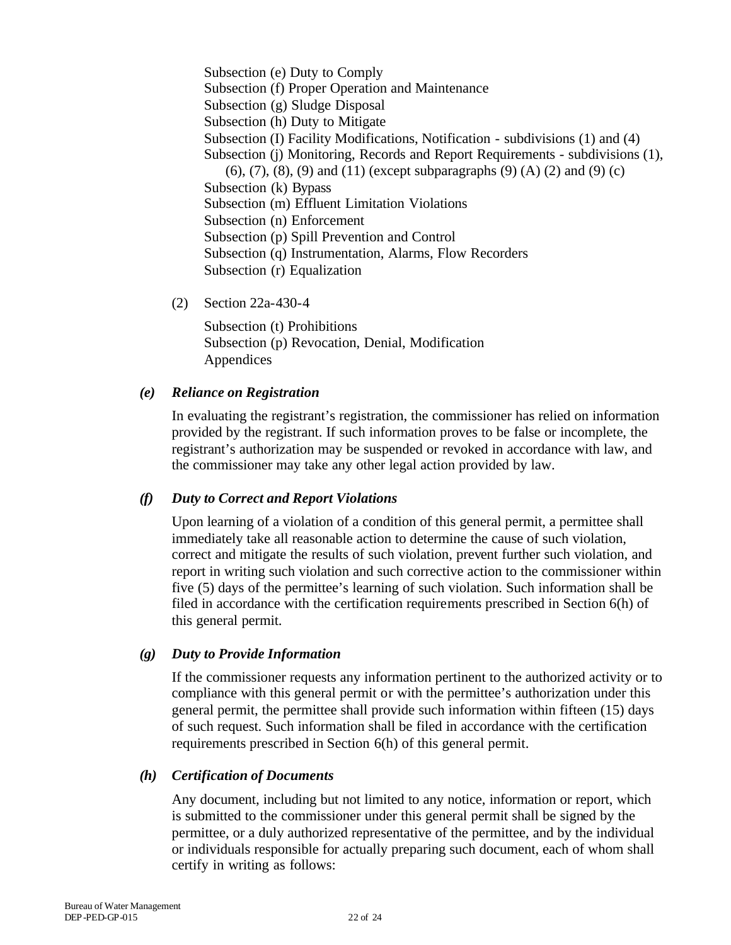Subsection (e) Duty to Comply Subsection (f) Proper Operation and Maintenance Subsection (g) Sludge Disposal Subsection (h) Duty to Mitigate Subsection (I) Facility Modifications, Notification - subdivisions (1) and (4) Subsection (j) Monitoring, Records and Report Requirements - subdivisions (1),  $(6)$ ,  $(7)$ ,  $(8)$ ,  $(9)$  and  $(11)$  (except subparagraphs  $(9)$   $(A)$   $(2)$  and  $(9)$   $(c)$ Subsection (k) Bypass Subsection (m) Effluent Limitation Violations Subsection (n) Enforcement Subsection (p) Spill Prevention and Control Subsection (q) Instrumentation, Alarms, Flow Recorders Subsection (r) Equalization

(2) Section 22a-430-4

Subsection (t) Prohibitions Subsection (p) Revocation, Denial, Modification Appendices

#### *(e) Reliance on Registration*

In evaluating the registrant's registration, the commissioner has relied on information provided by the registrant. If such information proves to be false or incomplete, the registrant's authorization may be suspended or revoked in accordance with law, and the commissioner may take any other legal action provided by law.

#### *(f) Duty to Correct and Report Violations*

Upon learning of a violation of a condition of this general permit, a permittee shall immediately take all reasonable action to determine the cause of such violation, correct and mitigate the results of such violation, prevent further such violation, and report in writing such violation and such corrective action to the commissioner within five (5) days of the permittee's learning of such violation. Such information shall be filed in accordance with the certification requirements prescribed in Section 6(h) of this general permit.

#### *(g) Duty to Provide Information*

If the commissioner requests any information pertinent to the authorized activity or to compliance with this general permit or with the permittee's authorization under this general permit, the permittee shall provide such information within fifteen (15) days of such request. Such information shall be filed in accordance with the certification requirements prescribed in Section 6(h) of this general permit.

#### *(h) Certification of Documents*

Any document, including but not limited to any notice, information or report, which is submitted to the commissioner under this general permit shall be signed by the permittee, or a duly authorized representative of the permittee, and by the individual or individuals responsible for actually preparing such document, each of whom shall certify in writing as follows: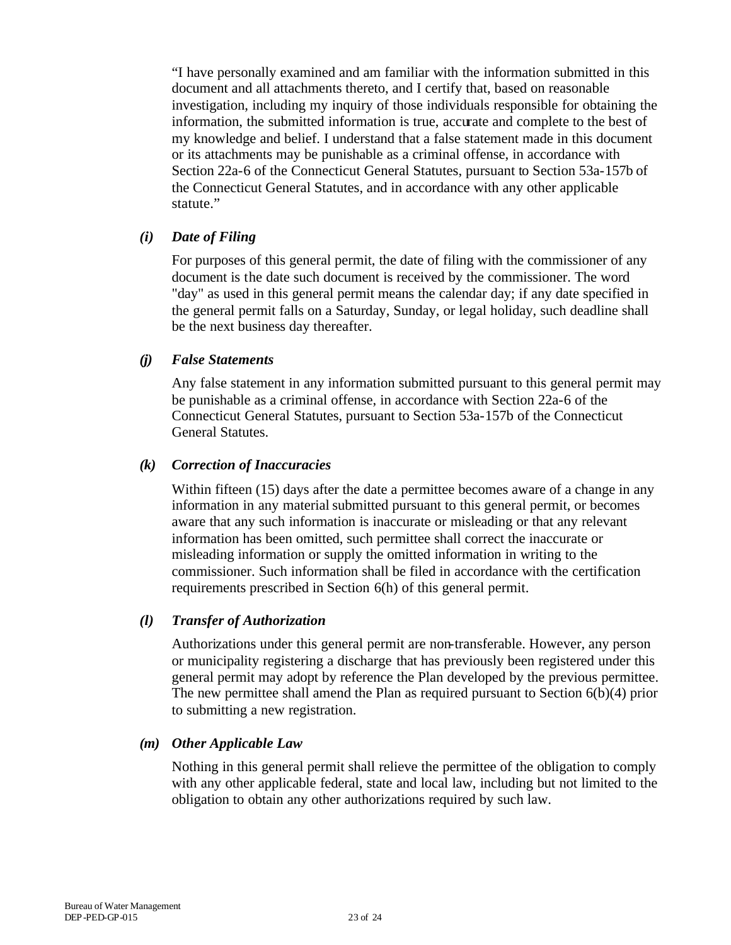"I have personally examined and am familiar with the information submitted in this document and all attachments thereto, and I certify that, based on reasonable investigation, including my inquiry of those individuals responsible for obtaining the information, the submitted information is true, accurate and complete to the best of my knowledge and belief. I understand that a false statement made in this document or its attachments may be punishable as a criminal offense, in accordance with Section 22a-6 of the Connecticut General Statutes, pursuant to Section 53a-157b of the Connecticut General Statutes, and in accordance with any other applicable statute."

#### *(i) Date of Filing*

For purposes of this general permit, the date of filing with the commissioner of any document is the date such document is received by the commissioner. The word "day" as used in this general permit means the calendar day; if any date specified in the general permit falls on a Saturday, Sunday, or legal holiday, such deadline shall be the next business day thereafter.

#### *(j) False Statements*

Any false statement in any information submitted pursuant to this general permit may be punishable as a criminal offense, in accordance with Section 22a-6 of the Connecticut General Statutes, pursuant to Section 53a-157b of the Connecticut General Statutes.

#### *(k) Correction of Inaccuracies*

Within fifteen (15) days after the date a permittee becomes aware of a change in any information in any material submitted pursuant to this general permit, or becomes aware that any such information is inaccurate or misleading or that any relevant information has been omitted, such permittee shall correct the inaccurate or misleading information or supply the omitted information in writing to the commissioner. Such information shall be filed in accordance with the certification requirements prescribed in Section 6(h) of this general permit.

#### *(l) Transfer of Authorization*

Authorizations under this general permit are non-transferable. However, any person or municipality registering a discharge that has previously been registered under this general permit may adopt by reference the Plan developed by the previous permittee. The new permittee shall amend the Plan as required pursuant to Section  $6(b)(4)$  prior to submitting a new registration.

#### *(m) Other Applicable Law*

Nothing in this general permit shall relieve the permittee of the obligation to comply with any other applicable federal, state and local law, including but not limited to the obligation to obtain any other authorizations required by such law.